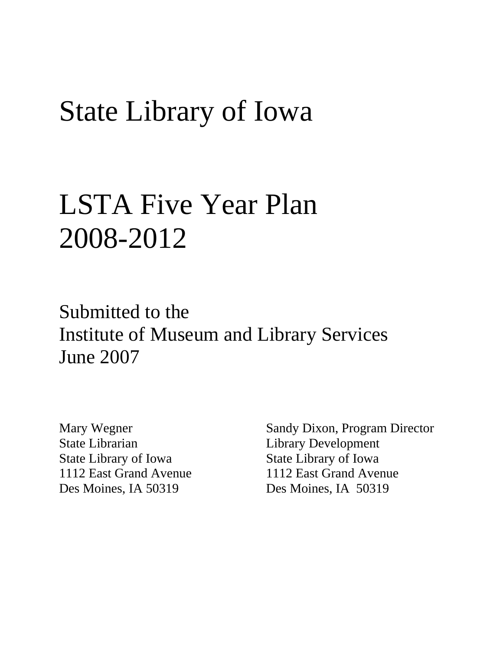# State Library of Iowa

# LSTA Five Year Plan 2008-2012

Submitted to the Institute of Museum and Library Services June 2007

Mary Wegner State Librarian State Library of Iowa 1112 East Grand Avenue Des Moines, IA 50319

Sandy Dixon, Program Director Library Development State Library of Iowa 1112 East Grand Avenue Des Moines, IA 50319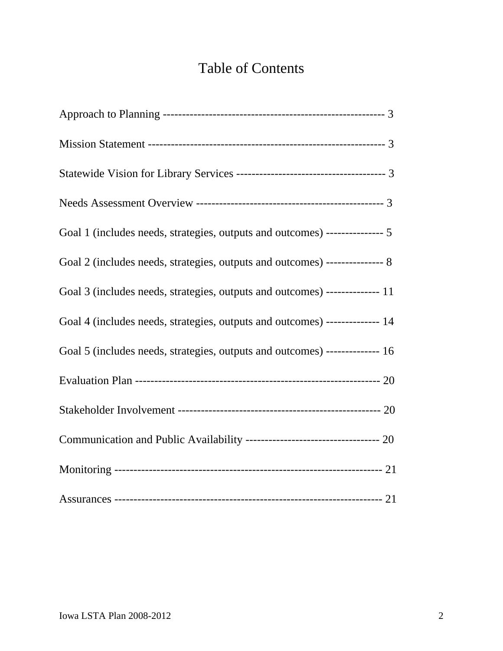# Table of Contents

| Goal 1 (includes needs, strategies, outputs and outcomes) --------------- 5 |
|-----------------------------------------------------------------------------|
| Goal 2 (includes needs, strategies, outputs and outcomes) --------------- 8 |
| Goal 3 (includes needs, strategies, outputs and outcomes) -------------- 11 |
| Goal 4 (includes needs, strategies, outputs and outcomes) -------------- 14 |
| Goal 5 (includes needs, strategies, outputs and outcomes) -------------- 16 |
|                                                                             |
|                                                                             |
| Communication and Public Availability ---------------------------------- 20 |
|                                                                             |
|                                                                             |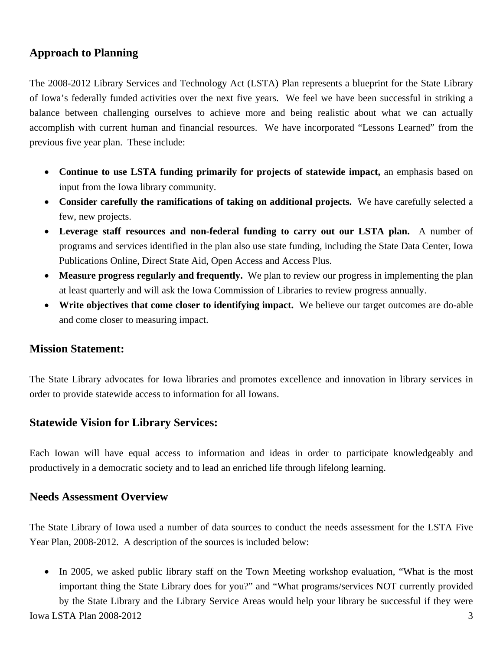# **Approach to Planning**

The 2008-2012 Library Services and Technology Act (LSTA) Plan represents a blueprint for the State Library of Iowa's federally funded activities over the next five years. We feel we have been successful in striking a balance between challenging ourselves to achieve more and being realistic about what we can actually accomplish with current human and financial resources. We have incorporated "Lessons Learned" from the previous five year plan. These include:

- **Continue to use LSTA funding primarily for projects of statewide impact,** an emphasis based on input from the Iowa library community.
- **Consider carefully the ramifications of taking on additional projects.** We have carefully selected a few, new projects.
- **Leverage staff resources and non-federal funding to carry out our LSTA plan.** A number of programs and services identified in the plan also use state funding, including the State Data Center, Iowa Publications Online, Direct State Aid, Open Access and Access Plus.
- **Measure progress regularly and frequently.** We plan to review our progress in implementing the plan at least quarterly and will ask the Iowa Commission of Libraries to review progress annually.
- **Write objectives that come closer to identifying impact.** We believe our target outcomes are do-able and come closer to measuring impact.

#### **Mission Statement:**

The State Library advocates for Iowa libraries and promotes excellence and innovation in library services in order to provide statewide access to information for all Iowans.

#### **Statewide Vision for Library Services:**

Each Iowan will have equal access to information and ideas in order to participate knowledgeably and productively in a democratic society and to lead an enriched life through lifelong learning.

#### **Needs Assessment Overview**

The State Library of Iowa used a number of data sources to conduct the needs assessment for the LSTA Five Year Plan, 2008-2012. A description of the sources is included below:

• In 2005, we asked public library staff on the Town Meeting workshop evaluation, "What is the most important thing the State Library does for you?" and "What programs/services NOT currently provided by the State Library and the Library Service Areas would help your library be successful if they were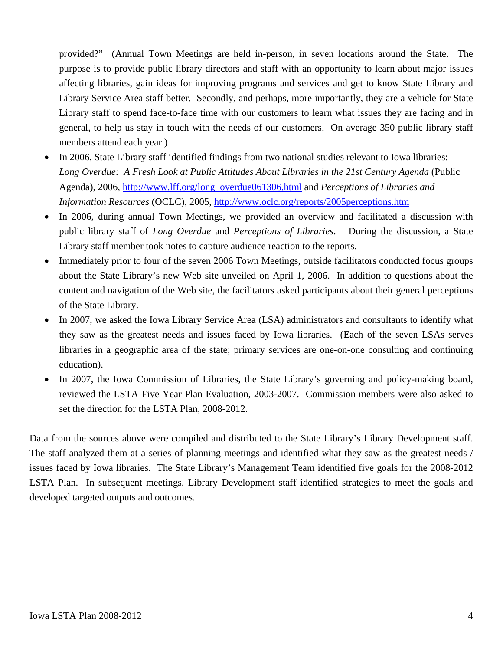provided?" (Annual Town Meetings are held in-person, in seven locations around the State. The purpose is to provide public library directors and staff with an opportunity to learn about major issues affecting libraries, gain ideas for improving programs and services and get to know State Library and Library Service Area staff better. Secondly, and perhaps, more importantly, they are a vehicle for State Library staff to spend face-to-face time with our customers to learn what issues they are facing and in general, to help us stay in touch with the needs of our customers. On average 350 public library staff members attend each year.)

- In 2006, State Library staff identified findings from two national studies relevant to Iowa libraries: *Long Overdue: A Fresh Look at Public Attitudes About Libraries in the 21st Century Agenda* (Public Agenda), 2006, http://www.lff.org/long\_overdue061306.html and *Perceptions of Libraries and Information Resources* (OCLC), 2005, http://www.oclc.org/reports/2005perceptions.htm
- In 2006, during annual Town Meetings, we provided an overview and facilitated a discussion with public library staff of *Long Overdue* and *Perceptions of Libraries*. During the discussion, a State Library staff member took notes to capture audience reaction to the reports.
- Immediately prior to four of the seven 2006 Town Meetings, outside facilitators conducted focus groups about the State Library's new Web site unveiled on April 1, 2006. In addition to questions about the content and navigation of the Web site, the facilitators asked participants about their general perceptions of the State Library.
- In 2007, we asked the Iowa Library Service Area (LSA) administrators and consultants to identify what they saw as the greatest needs and issues faced by Iowa libraries. (Each of the seven LSAs serves libraries in a geographic area of the state; primary services are one-on-one consulting and continuing education).
- In 2007, the Iowa Commission of Libraries, the State Library's governing and policy-making board, reviewed the LSTA Five Year Plan Evaluation, 2003-2007. Commission members were also asked to set the direction for the LSTA Plan, 2008-2012.

Data from the sources above were compiled and distributed to the State Library's Library Development staff. The staff analyzed them at a series of planning meetings and identified what they saw as the greatest needs / issues faced by Iowa libraries. The State Library's Management Team identified five goals for the 2008-2012 LSTA Plan. In subsequent meetings, Library Development staff identified strategies to meet the goals and developed targeted outputs and outcomes.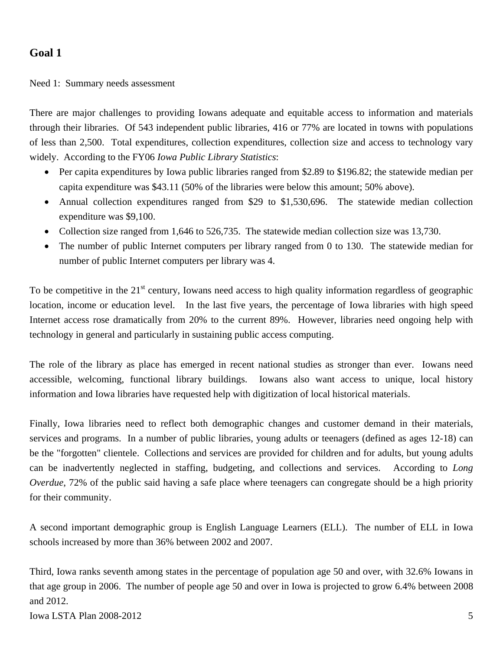#### Need 1: Summary needs assessment

There are major challenges to providing Iowans adequate and equitable access to information and materials through their libraries. Of 543 independent public libraries, 416 or 77% are located in towns with populations of less than 2,500. Total expenditures, collection expenditures, collection size and access to technology vary widely. According to the FY06 *Iowa Public Library Statistics*:

- Per capita expenditures by Iowa public libraries ranged from \$2.89 to \$196.82; the statewide median per capita expenditure was \$43.11 (50% of the libraries were below this amount; 50% above).
- Annual collection expenditures ranged from \$29 to \$1,530,696. The statewide median collection expenditure was \$9,100.
- Collection size ranged from 1,646 to 526,735. The statewide median collection size was 13,730.
- The number of public Internet computers per library ranged from 0 to 130. The statewide median for number of public Internet computers per library was 4.

To be competitive in the  $21<sup>st</sup>$  century, Iowans need access to high quality information regardless of geographic location, income or education level. In the last five years, the percentage of Iowa libraries with high speed Internet access rose dramatically from 20% to the current 89%. However, libraries need ongoing help with technology in general and particularly in sustaining public access computing.

The role of the library as place has emerged in recent national studies as stronger than ever. Iowans need accessible, welcoming, functional library buildings. Iowans also want access to unique, local history information and Iowa libraries have requested help with digitization of local historical materials.

Finally, Iowa libraries need to reflect both demographic changes and customer demand in their materials, services and programs. In a number of public libraries, young adults or teenagers (defined as ages 12-18) can be the "forgotten" clientele. Collections and services are provided for children and for adults, but young adults can be inadvertently neglected in staffing, budgeting, and collections and services. According to *Long Overdue*, 72% of the public said having a safe place where teenagers can congregate should be a high priority for their community.

A second important demographic group is English Language Learners (ELL). The number of ELL in Iowa schools increased by more than 36% between 2002 and 2007.

Third, Iowa ranks seventh among states in the percentage of population age 50 and over, with 32.6% Iowans in that age group in 2006. The number of people age 50 and over in Iowa is projected to grow 6.4% between 2008 and 2012.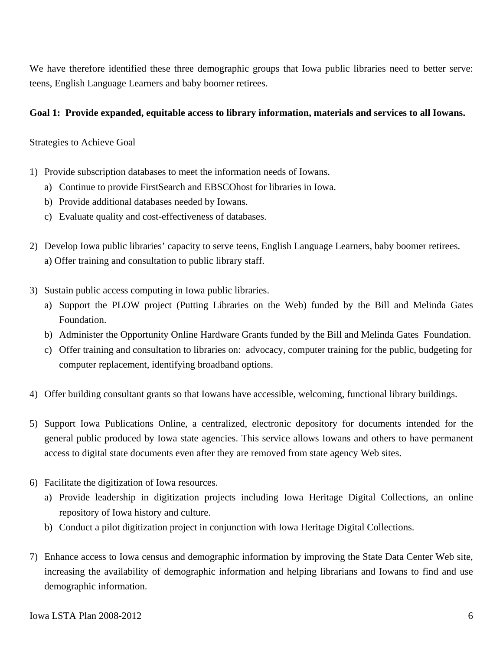We have therefore identified these three demographic groups that Iowa public libraries need to better serve: teens, English Language Learners and baby boomer retirees.

#### **Goal 1: Provide expanded, equitable access to library information, materials and services to all Iowans.**

Strategies to Achieve Goal

- 1) Provide subscription databases to meet the information needs of Iowans.
	- a) Continue to provide FirstSearch and EBSCOhost for libraries in Iowa.
	- b) Provide additional databases needed by Iowans.
	- c) Evaluate quality and cost-effectiveness of databases.
- 2) Develop Iowa public libraries' capacity to serve teens, English Language Learners, baby boomer retirees. a) Offer training and consultation to public library staff.
- 3) Sustain public access computing in Iowa public libraries.
	- a) Support the PLOW project (Putting Libraries on the Web) funded by the Bill and Melinda Gates Foundation.
	- b) Administer the Opportunity Online Hardware Grants funded by the Bill and Melinda Gates Foundation.
	- c) Offer training and consultation to libraries on: advocacy, computer training for the public, budgeting for computer replacement, identifying broadband options.
- 4) Offer building consultant grants so that Iowans have accessible, welcoming, functional library buildings.
- 5) Support Iowa Publications Online, a centralized, electronic depository for documents intended for the general public produced by Iowa state agencies. This service allows Iowans and others to have permanent access to digital state documents even after they are removed from state agency Web sites.
- 6) Facilitate the digitization of Iowa resources.
	- a) Provide leadership in digitization projects including Iowa Heritage Digital Collections, an online repository of Iowa history and culture.
	- b) Conduct a pilot digitization project in conjunction with Iowa Heritage Digital Collections.
- 7) Enhance access to Iowa census and demographic information by improving the State Data Center Web site, increasing the availability of demographic information and helping librarians and Iowans to find and use demographic information.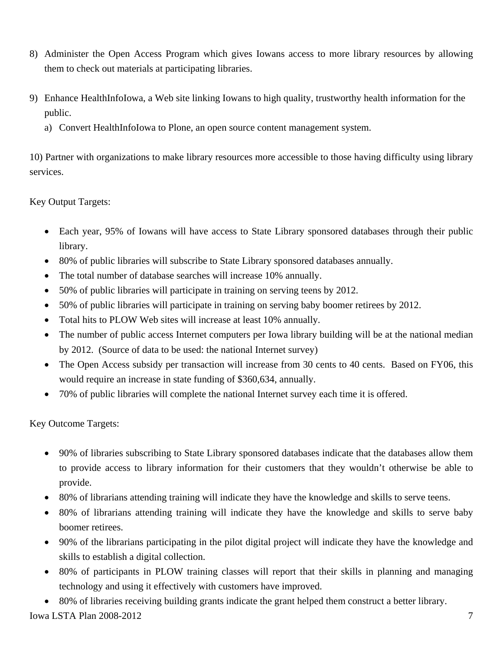- 8) Administer the Open Access Program which gives Iowans access to more library resources by allowing them to check out materials at participating libraries.
- 9) Enhance HealthInfoIowa, a Web site linking Iowans to high quality, trustworthy health information for the public.
	- a) Convert HealthInfoIowa to Plone, an open source content management system.

10) Partner with organizations to make library resources more accessible to those having difficulty using library services.

Key Output Targets:

- Each year, 95% of Iowans will have access to State Library sponsored databases through their public library.
- 80% of public libraries will subscribe to State Library sponsored databases annually.
- The total number of database searches will increase 10% annually.
- 50% of public libraries will participate in training on serving teens by 2012.
- 50% of public libraries will participate in training on serving baby boomer retirees by 2012.
- Total hits to PLOW Web sites will increase at least 10% annually.
- The number of public access Internet computers per Iowa library building will be at the national median by 2012. (Source of data to be used: the national Internet survey)
- The Open Access subsidy per transaction will increase from 30 cents to 40 cents. Based on FY06, this would require an increase in state funding of \$360,634, annually.
- 70% of public libraries will complete the national Internet survey each time it is offered.

Key Outcome Targets:

- 90% of libraries subscribing to State Library sponsored databases indicate that the databases allow them to provide access to library information for their customers that they wouldn't otherwise be able to provide.
- 80% of librarians attending training will indicate they have the knowledge and skills to serve teens.
- 80% of librarians attending training will indicate they have the knowledge and skills to serve baby boomer retirees.
- 90% of the librarians participating in the pilot digital project will indicate they have the knowledge and skills to establish a digital collection.
- 80% of participants in PLOW training classes will report that their skills in planning and managing technology and using it effectively with customers have improved.
- 80% of libraries receiving building grants indicate the grant helped them construct a better library.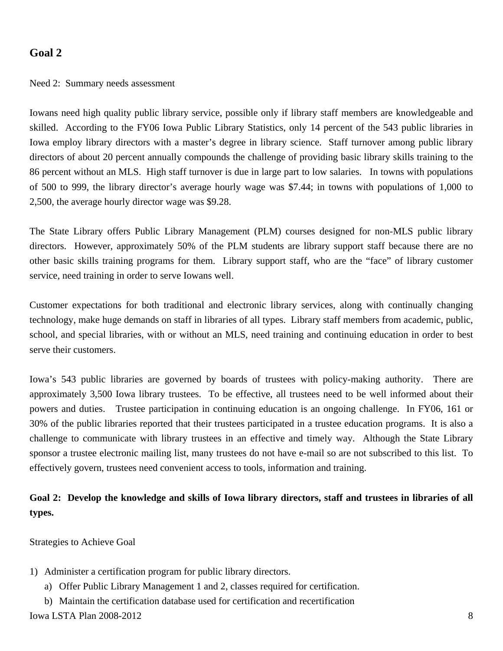#### Need 2: Summary needs assessment

Iowans need high quality public library service, possible only if library staff members are knowledgeable and skilled. According to the FY06 Iowa Public Library Statistics, only 14 percent of the 543 public libraries in Iowa employ library directors with a master's degree in library science. Staff turnover among public library directors of about 20 percent annually compounds the challenge of providing basic library skills training to the 86 percent without an MLS. High staff turnover is due in large part to low salaries. In towns with populations of 500 to 999, the library director's average hourly wage was \$7.44; in towns with populations of 1,000 to 2,500, the average hourly director wage was \$9.28.

The State Library offers Public Library Management (PLM) courses designed for non-MLS public library directors. However, approximately 50% of the PLM students are library support staff because there are no other basic skills training programs for them. Library support staff, who are the "face" of library customer service, need training in order to serve Iowans well.

Customer expectations for both traditional and electronic library services, along with continually changing technology, make huge demands on staff in libraries of all types. Library staff members from academic, public, school, and special libraries, with or without an MLS, need training and continuing education in order to best serve their customers.

Iowa's 543 public libraries are governed by boards of trustees with policy-making authority. There are approximately 3,500 Iowa library trustees. To be effective, all trustees need to be well informed about their powers and duties. Trustee participation in continuing education is an ongoing challenge. In FY06, 161 or 30% of the public libraries reported that their trustees participated in a trustee education programs. It is also a challenge to communicate with library trustees in an effective and timely way. Although the State Library sponsor a trustee electronic mailing list, many trustees do not have e-mail so are not subscribed to this list. To effectively govern, trustees need convenient access to tools, information and training.

# **Goal 2: Develop the knowledge and skills of Iowa library directors, staff and trustees in libraries of all types.**

Strategies to Achieve Goal

- 1) Administer a certification program for public library directors.
	- a) Offer Public Library Management 1 and 2, classes required for certification.
	- b) Maintain the certification database used for certification and recertification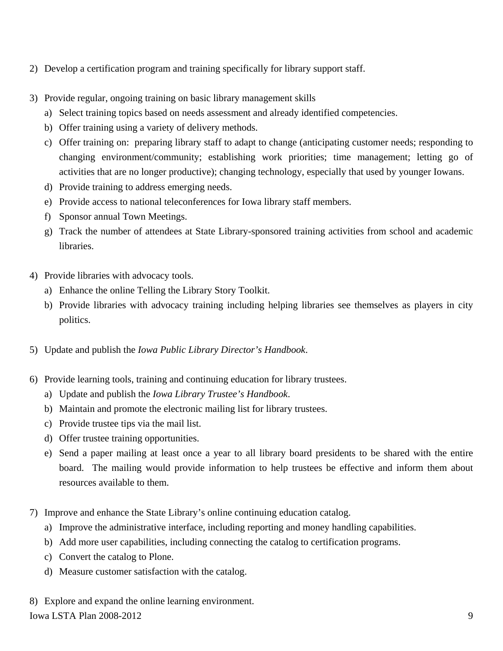- 2) Develop a certification program and training specifically for library support staff.
- 3) Provide regular, ongoing training on basic library management skills
	- a) Select training topics based on needs assessment and already identified competencies.
	- b) Offer training using a variety of delivery methods.
	- c) Offer training on: preparing library staff to adapt to change (anticipating customer needs; responding to changing environment/community; establishing work priorities; time management; letting go of activities that are no longer productive); changing technology, especially that used by younger Iowans.
	- d) Provide training to address emerging needs.
	- e) Provide access to national teleconferences for Iowa library staff members.
	- f) Sponsor annual Town Meetings.
	- g) Track the number of attendees at State Library-sponsored training activities from school and academic libraries.
- 4) Provide libraries with advocacy tools.
	- a) Enhance the online Telling the Library Story Toolkit.
	- b) Provide libraries with advocacy training including helping libraries see themselves as players in city politics.
- 5) Update and publish the *Iowa Public Library Director's Handbook*.
- 6) Provide learning tools, training and continuing education for library trustees.
	- a) Update and publish the *Iowa Library Trustee's Handbook*.
	- b) Maintain and promote the electronic mailing list for library trustees.
	- c) Provide trustee tips via the mail list.
	- d) Offer trustee training opportunities.
	- e) Send a paper mailing at least once a year to all library board presidents to be shared with the entire board. The mailing would provide information to help trustees be effective and inform them about resources available to them.
- 7) Improve and enhance the State Library's online continuing education catalog.
	- a) Improve the administrative interface, including reporting and money handling capabilities.
	- b) Add more user capabilities, including connecting the catalog to certification programs.
	- c) Convert the catalog to Plone.
	- d) Measure customer satisfaction with the catalog.
- 8) Explore and expand the online learning environment.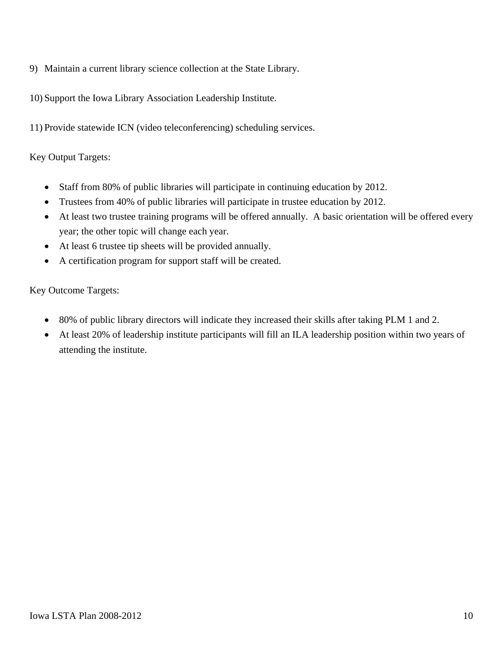- 9) Maintain a current library science collection at the State Library.
- 10) Support the Iowa Library Association Leadership Institute.
- 11) Provide statewide ICN (video teleconferencing) scheduling services.

#### Key Output Targets:

- Staff from 80% of public libraries will participate in continuing education by 2012.
- Trustees from 40% of public libraries will participate in trustee education by 2012.
- At least two trustee training programs will be offered annually. A basic orientation will be offered every year; the other topic will change each year.
- At least 6 trustee tip sheets will be provided annually.
- A certification program for support staff will be created.

Key Outcome Targets:

- 80% of public library directors will indicate they increased their skills after taking PLM 1 and 2.
- At least 20% of leadership institute participants will fill an ILA leadership position within two years of attending the institute.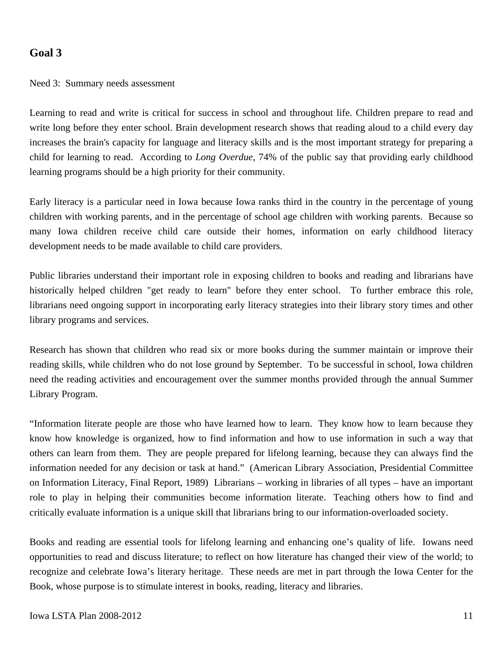Need 3: Summary needs assessment

Learning to read and write is critical for success in school and throughout life. Children prepare to read and write long before they enter school. Brain development research shows that reading aloud to a child every day increases the brain's capacity for language and literacy skills and is the most important strategy for preparing a child for learning to read. According to *Long Overdue*, 74% of the public say that providing early childhood learning programs should be a high priority for their community*.*

Early literacy is a particular need in Iowa because Iowa ranks third in the country in the percentage of young children with working parents, and in the percentage of school age children with working parents. Because so many Iowa children receive child care outside their homes, information on early childhood literacy development needs to be made available to child care providers.

Public libraries understand their important role in exposing children to books and reading and librarians have historically helped children "get ready to learn" before they enter school. To further embrace this role, librarians need ongoing support in incorporating early literacy strategies into their library story times and other library programs and services.

Research has shown that children who read six or more books during the summer maintain or improve their reading skills, while children who do not lose ground by September. To be successful in school, Iowa children need the reading activities and encouragement over the summer months provided through the annual Summer Library Program.

"Information literate people are those who have learned how to learn. They know how to learn because they know how knowledge is organized, how to find information and how to use information in such a way that others can learn from them. They are people prepared for lifelong learning, because they can always find the information needed for any decision or task at hand." (American Library Association, Presidential Committee on Information Literacy, Final Report, 1989) Librarians – working in libraries of all types – have an important role to play in helping their communities become information literate. Teaching others how to find and critically evaluate information is a unique skill that librarians bring to our information-overloaded society.

Books and reading are essential tools for lifelong learning and enhancing one's quality of life. Iowans need opportunities to read and discuss literature; to reflect on how literature has changed their view of the world; to recognize and celebrate Iowa's literary heritage. These needs are met in part through the Iowa Center for the Book, whose purpose is to stimulate interest in books, reading, literacy and libraries.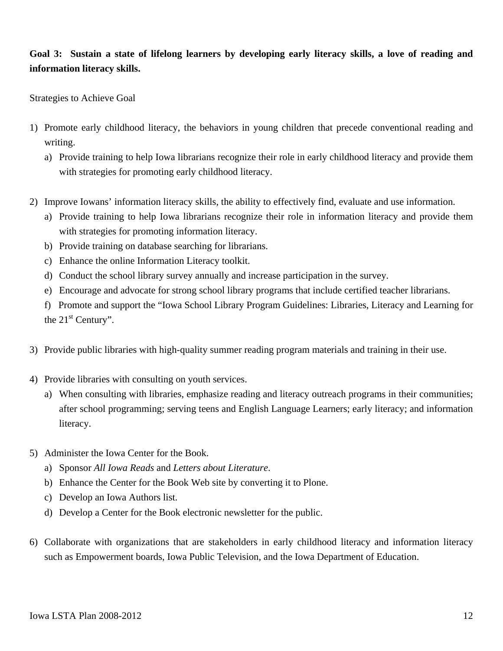# **Goal 3: Sustain a state of lifelong learners by developing early literacy skills, a love of reading and information literacy skills.**

Strategies to Achieve Goal

- 1) Promote early childhood literacy, the behaviors in young children that precede conventional reading and writing.
	- a) Provide training to help Iowa librarians recognize their role in early childhood literacy and provide them with strategies for promoting early childhood literacy.
- 2) Improve Iowans' information literacy skills, the ability to effectively find, evaluate and use information.
	- a) Provide training to help Iowa librarians recognize their role in information literacy and provide them with strategies for promoting information literacy.
	- b) Provide training on database searching for librarians.
	- c) Enhance the online Information Literacy toolkit.
	- d) Conduct the school library survey annually and increase participation in the survey.
	- e) Encourage and advocate for strong school library programs that include certified teacher librarians.
	- f) Promote and support the "Iowa School Library Program Guidelines: Libraries, Literacy and Learning for the  $21<sup>st</sup>$  Century".
- 3) Provide public libraries with high-quality summer reading program materials and training in their use.
- 4) Provide libraries with consulting on youth services.
	- a) When consulting with libraries, emphasize reading and literacy outreach programs in their communities; after school programming; serving teens and English Language Learners; early literacy; and information literacy.
- 5) Administer the Iowa Center for the Book.
	- a) Sponsor *All Iowa Reads* and *Letters about Literature*.
	- b) Enhance the Center for the Book Web site by converting it to Plone.
	- c) Develop an Iowa Authors list.
	- d) Develop a Center for the Book electronic newsletter for the public.
- 6) Collaborate with organizations that are stakeholders in early childhood literacy and information literacy such as Empowerment boards, Iowa Public Television, and the Iowa Department of Education.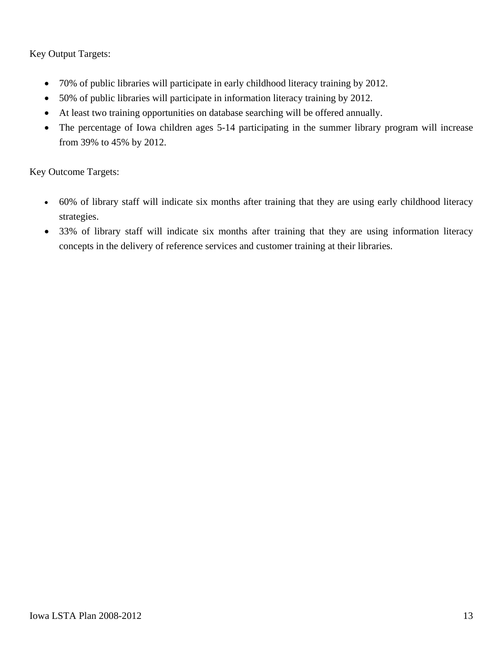Key Output Targets:

- 70% of public libraries will participate in early childhood literacy training by 2012.
- 50% of public libraries will participate in information literacy training by 2012.
- At least two training opportunities on database searching will be offered annually.
- The percentage of Iowa children ages 5-14 participating in the summer library program will increase from 39% to 45% by 2012.

Key Outcome Targets:

- 60% of library staff will indicate six months after training that they are using early childhood literacy strategies.
- 33% of library staff will indicate six months after training that they are using information literacy concepts in the delivery of reference services and customer training at their libraries.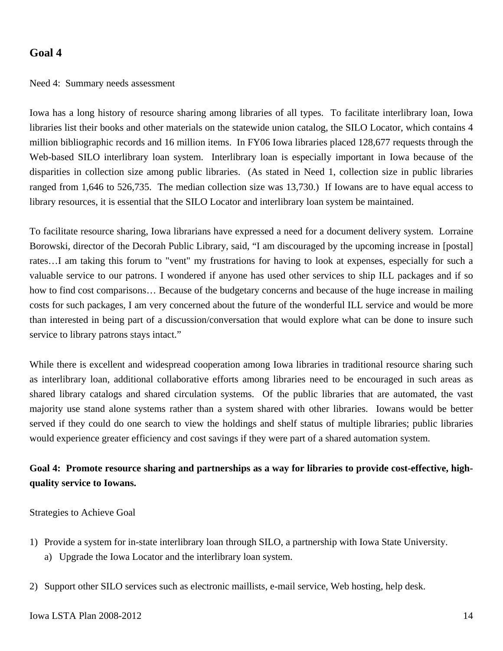#### Need 4: Summary needs assessment

Iowa has a long history of resource sharing among libraries of all types. To facilitate interlibrary loan, Iowa libraries list their books and other materials on the statewide union catalog, the SILO Locator, which contains 4 million bibliographic records and 16 million items. In FY06 Iowa libraries placed 128,677 requests through the Web-based SILO interlibrary loan system. Interlibrary loan is especially important in Iowa because of the disparities in collection size among public libraries. (As stated in Need 1, collection size in public libraries ranged from 1,646 to 526,735. The median collection size was 13,730.) If Iowans are to have equal access to library resources, it is essential that the SILO Locator and interlibrary loan system be maintained.

To facilitate resource sharing, Iowa librarians have expressed a need for a document delivery system. Lorraine Borowski, director of the Decorah Public Library, said, "I am discouraged by the upcoming increase in [postal] rates…I am taking this forum to "vent" my frustrations for having to look at expenses, especially for such a valuable service to our patrons. I wondered if anyone has used other services to ship ILL packages and if so how to find cost comparisons… Because of the budgetary concerns and because of the huge increase in mailing costs for such packages, I am very concerned about the future of the wonderful ILL service and would be more than interested in being part of a discussion/conversation that would explore what can be done to insure such service to library patrons stays intact."

While there is excellent and widespread cooperation among Iowa libraries in traditional resource sharing such as interlibrary loan, additional collaborative efforts among libraries need to be encouraged in such areas as shared library catalogs and shared circulation systems. Of the public libraries that are automated, the vast majority use stand alone systems rather than a system shared with other libraries. Iowans would be better served if they could do one search to view the holdings and shelf status of multiple libraries; public libraries would experience greater efficiency and cost savings if they were part of a shared automation system.

# **Goal 4: Promote resource sharing and partnerships as a way for libraries to provide cost-effective, highquality service to Iowans.**

Strategies to Achieve Goal

- 1) Provide a system for in-state interlibrary loan through SILO, a partnership with Iowa State University.
	- a) Upgrade the Iowa Locator and the interlibrary loan system.
- 2) Support other SILO services such as electronic maillists, e-mail service, Web hosting, help desk.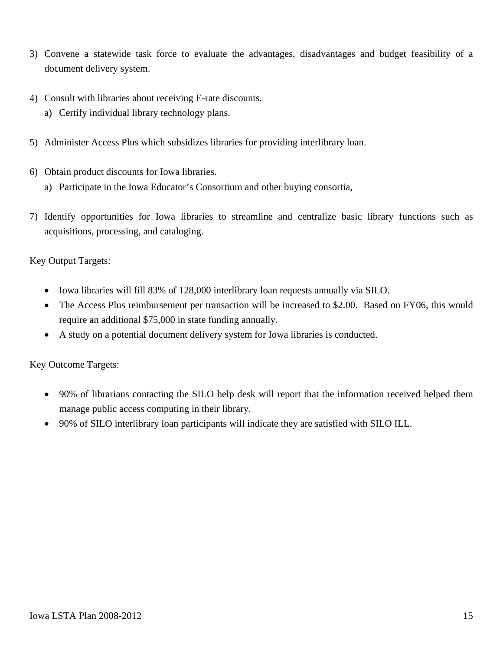- 3) Convene a statewide task force to evaluate the advantages, disadvantages and budget feasibility of a document delivery system.
- 4) Consult with libraries about receiving E-rate discounts.
	- a) Certify individual library technology plans.
- 5) Administer Access Plus which subsidizes libraries for providing interlibrary loan.
- 6) Obtain product discounts for Iowa libraries.
	- a) Participate in the Iowa Educator's Consortium and other buying consortia,
- 7) Identify opportunities for Iowa libraries to streamline and centralize basic library functions such as acquisitions, processing, and cataloging.

Key Output Targets:

- Iowa libraries will fill 83% of 128,000 interlibrary loan requests annually via SILO.
- The Access Plus reimbursement per transaction will be increased to \$2.00. Based on FY06, this would require an additional \$75,000 in state funding annually.
- A study on a potential document delivery system for Iowa libraries is conducted.

Key Outcome Targets:

- 90% of librarians contacting the SILO help desk will report that the information received helped them manage public access computing in their library.
- 90% of SILO interlibrary loan participants will indicate they are satisfied with SILO ILL.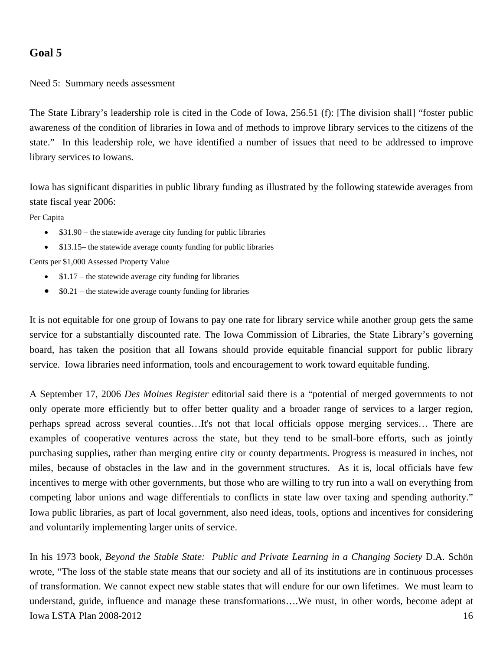Need 5: Summary needs assessment

The State Library's leadership role is cited in the Code of Iowa, 256.51 (f): [The division shall] "foster public awareness of the condition of libraries in Iowa and of methods to improve library services to the citizens of the state." In this leadership role, we have identified a number of issues that need to be addressed to improve library services to Iowans.

Iowa has significant disparities in public library funding as illustrated by the following statewide averages from state fiscal year 2006:

Per Capita

- \$31.90 the statewide average city funding for public libraries
- \$13.15– the statewide average county funding for public libraries

Cents per \$1,000 Assessed Property Value

- $$1.17$  the statewide average city funding for libraries
- $$0.21$  the statewide average county funding for libraries

It is not equitable for one group of Iowans to pay one rate for library service while another group gets the same service for a substantially discounted rate. The Iowa Commission of Libraries, the State Library's governing board, has taken the position that all Iowans should provide equitable financial support for public library service. Iowa libraries need information, tools and encouragement to work toward equitable funding.

A September 17, 2006 *Des Moines Register* editorial said there is a "potential of merged governments to not only operate more efficiently but to offer better quality and a broader range of services to a larger region, perhaps spread across several counties…It's not that local officials oppose merging services… There are examples of cooperative ventures across the state, but they tend to be small-bore efforts, such as jointly purchasing supplies, rather than merging entire city or county departments. Progress is measured in inches, not miles, because of obstacles in the law and in the government structures. As it is, local officials have few incentives to merge with other governments, but those who are willing to try run into a wall on everything from competing labor unions and wage differentials to conflicts in state law over taxing and spending authority." Iowa public libraries, as part of local government, also need ideas, tools, options and incentives for considering and voluntarily implementing larger units of service.

**Iowa LSTA Plan 2008-2012** 16 In his 1973 book, *Beyond the Stable State: Public and Private Learning in a Changing Society* D.A. Schön wrote, "The loss of the stable state means that our society and all of its institutions are in continuous processes of transformation. We cannot expect new stable states that will endure for our own lifetimes. We must learn to understand, guide, influence and manage these transformations….We must, in other words, become adept at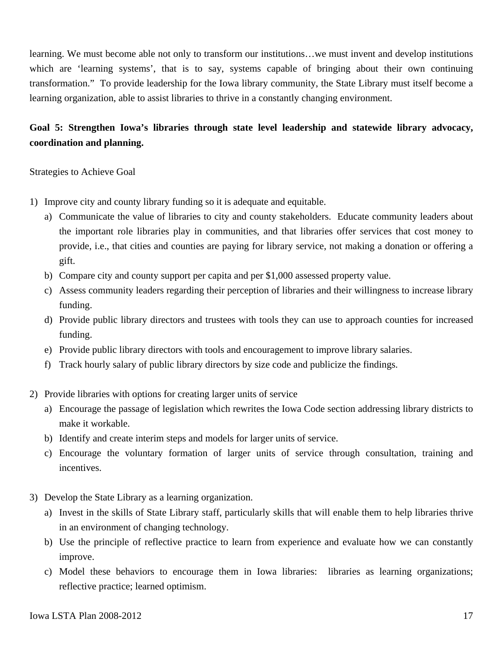learning. We must become able not only to transform our institutions…we must invent and develop institutions which are 'learning systems', that is to say, systems capable of bringing about their own continuing transformation." To provide leadership for the Iowa library community, the State Library must itself become a learning organization, able to assist libraries to thrive in a constantly changing environment.

# **Goal 5: Strengthen Iowa's libraries through state level leadership and statewide library advocacy, coordination and planning.**

Strategies to Achieve Goal

- 1) Improve city and county library funding so it is adequate and equitable.
	- a) Communicate the value of libraries to city and county stakeholders. Educate community leaders about the important role libraries play in communities, and that libraries offer services that cost money to provide, i.e., that cities and counties are paying for library service, not making a donation or offering a gift.
	- b) Compare city and county support per capita and per \$1,000 assessed property value.
	- c) Assess community leaders regarding their perception of libraries and their willingness to increase library funding.
	- d) Provide public library directors and trustees with tools they can use to approach counties for increased funding.
	- e) Provide public library directors with tools and encouragement to improve library salaries.
	- f) Track hourly salary of public library directors by size code and publicize the findings.
- 2) Provide libraries with options for creating larger units of service
	- a) Encourage the passage of legislation which rewrites the Iowa Code section addressing library districts to make it workable.
	- b) Identify and create interim steps and models for larger units of service.
	- c) Encourage the voluntary formation of larger units of service through consultation, training and incentives.
- 3) Develop the State Library as a learning organization.
	- a) Invest in the skills of State Library staff, particularly skills that will enable them to help libraries thrive in an environment of changing technology.
	- b) Use the principle of reflective practice to learn from experience and evaluate how we can constantly improve.
	- c) Model these behaviors to encourage them in Iowa libraries: libraries as learning organizations; reflective practice; learned optimism.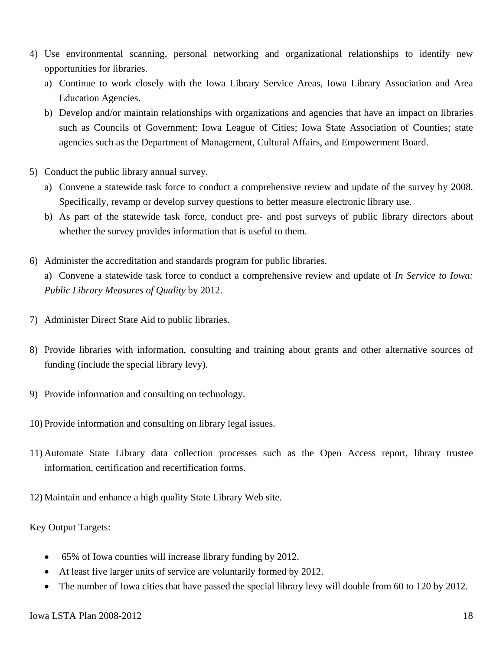- 4) Use environmental scanning, personal networking and organizational relationships to identify new opportunities for libraries.
	- a) Continue to work closely with the Iowa Library Service Areas, Iowa Library Association and Area Education Agencies.
	- b) Develop and/or maintain relationships with organizations and agencies that have an impact on libraries such as Councils of Government; Iowa League of Cities; Iowa State Association of Counties; state agencies such as the Department of Management, Cultural Affairs, and Empowerment Board.
- 5) Conduct the public library annual survey.
	- a) Convene a statewide task force to conduct a comprehensive review and update of the survey by 2008. Specifically, revamp or develop survey questions to better measure electronic library use.
	- b) As part of the statewide task force, conduct pre- and post surveys of public library directors about whether the survey provides information that is useful to them.
- 6) Administer the accreditation and standards program for public libraries.

a) Convene a statewide task force to conduct a comprehensive review and update of *In Service to Iowa: Public Library Measures of Quality* by 2012.

- 7) Administer Direct State Aid to public libraries.
- 8) Provide libraries with information, consulting and training about grants and other alternative sources of funding (include the special library levy).
- 9) Provide information and consulting on technology.
- 10) Provide information and consulting on library legal issues.
- 11) Automate State Library data collection processes such as the Open Access report, library trustee information, certification and recertification forms.
- 12) Maintain and enhance a high quality State Library Web site.

Key Output Targets:

- 65% of Iowa counties will increase library funding by 2012.
- At least five larger units of service are voluntarily formed by 2012.
- The number of Iowa cities that have passed the special library levy will double from 60 to 120 by 2012.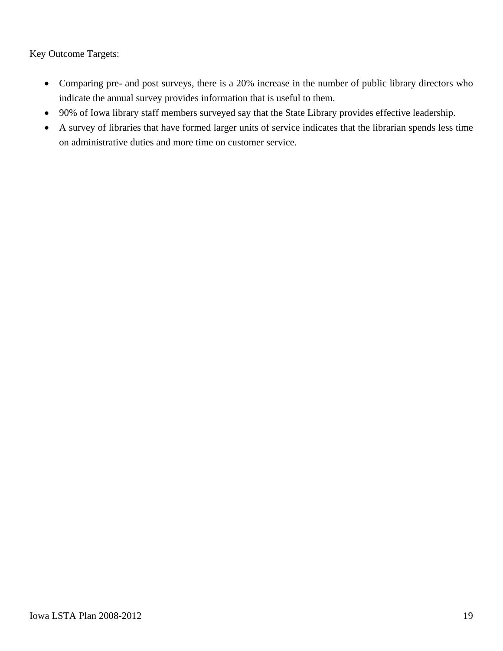Key Outcome Targets:

- Comparing pre- and post surveys, there is a 20% increase in the number of public library directors who indicate the annual survey provides information that is useful to them.
- 90% of Iowa library staff members surveyed say that the State Library provides effective leadership.
- A survey of libraries that have formed larger units of service indicates that the librarian spends less time on administrative duties and more time on customer service.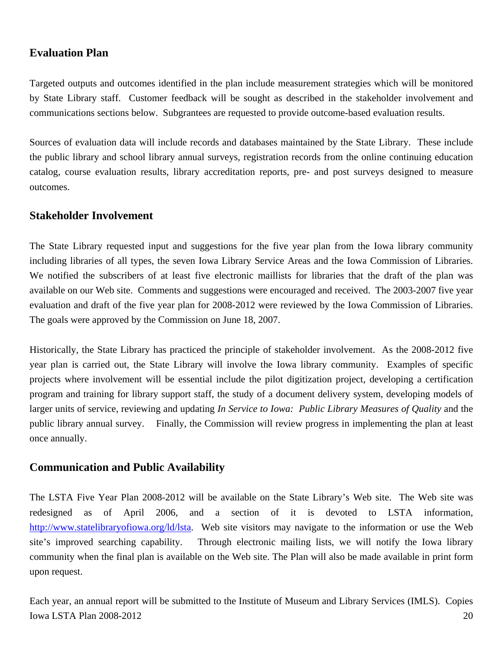#### **Evaluation Plan**

Targeted outputs and outcomes identified in the plan include measurement strategies which will be monitored by State Library staff. Customer feedback will be sought as described in the stakeholder involvement and communications sections below. Subgrantees are requested to provide outcome-based evaluation results.

Sources of evaluation data will include records and databases maintained by the State Library. These include the public library and school library annual surveys, registration records from the online continuing education catalog, course evaluation results, library accreditation reports, pre- and post surveys designed to measure outcomes.

#### **Stakeholder Involvement**

The State Library requested input and suggestions for the five year plan from the Iowa library community including libraries of all types, the seven Iowa Library Service Areas and the Iowa Commission of Libraries. We notified the subscribers of at least five electronic maillists for libraries that the draft of the plan was available on our Web site. Comments and suggestions were encouraged and received. The 2003-2007 five year evaluation and draft of the five year plan for 2008-2012 were reviewed by the Iowa Commission of Libraries. The goals were approved by the Commission on June 18, 2007.

Historically, the State Library has practiced the principle of stakeholder involvement. As the 2008-2012 five year plan is carried out, the State Library will involve the Iowa library community. Examples of specific projects where involvement will be essential include the pilot digitization project, developing a certification program and training for library support staff, the study of a document delivery system, developing models of larger units of service, reviewing and updating *In Service to Iowa: Public Library Measures of Quality* and the public library annual survey. Finally, the Commission will review progress in implementing the plan at least once annually.

#### **Communication and Public Availability**

The LSTA Five Year Plan 2008-2012 will be available on the State Library's Web site. The Web site was redesigned as of April 2006, and a section of it is devoted to LSTA information, http://www.statelibraryofiowa.org/ld/lsta. Web site visitors may navigate to the information or use the Web site's improved searching capability. Through electronic mailing lists, we will notify the Iowa library community when the final plan is available on the Web site. The Plan will also be made available in print form upon request.

Iowa LSTA Plan 2008-2012 20 Each year, an annual report will be submitted to the Institute of Museum and Library Services (IMLS). Copies